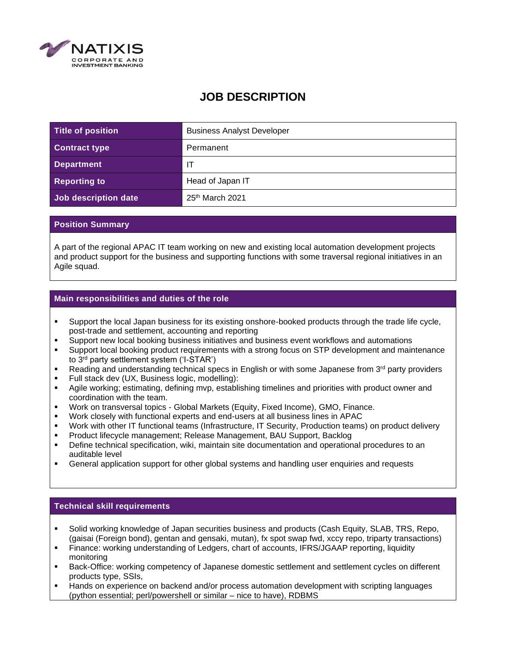

# **JOB DESCRIPTION**

| Title of position    | <b>Business Analyst Developer</b> |
|----------------------|-----------------------------------|
| <b>Contract type</b> | Permanent                         |
| <b>Department</b>    |                                   |
| <b>Reporting to</b>  | Head of Japan IT                  |
| Job description date | 25 <sup>th</sup> March 2021       |

### **Position Summary**

A part of the regional APAC IT team working on new and existing local automation development projects and product support for the business and supporting functions with some traversal regional initiatives in an Agile squad.

# **Main responsibilities and duties of the role**

- Support the local Japan business for its existing onshore-booked products through the trade life cycle, post-trade and settlement, accounting and reporting
- Support new local booking business initiatives and business event workflows and automations
- Support local booking product requirements with a strong focus on STP development and maintenance to 3rd party settlement system ('I-STAR')
- **EXECT** Reading and understanding technical specs in English or with some Japanese from  $3<sup>rd</sup>$  party providers
- Full stack dev (UX, Business logic, modelling):
- Agile working; estimating, defining mvp, establishing timelines and priorities with product owner and coordination with the team.
- Work on transversal topics Global Markets (Equity, Fixed Income), GMO, Finance.
- Work closely with functional experts and end-users at all business lines in APAC
- Work with other IT functional teams (Infrastructure, IT Security, Production teams) on product delivery
- Product lifecycle management; Release Management, BAU Support, Backlog
- Define technical specification, wiki, maintain site documentation and operational procedures to an auditable level
- General application support for other global systems and handling user enquiries and requests

# **Technical skill requirements**

- Solid working knowledge of Japan securities business and products (Cash Equity, SLAB, TRS, Repo, (gaisai (Foreign bond), gentan and gensaki, mutan), fx spot swap fwd, xccy repo, triparty transactions)
- Finance: working understanding of Ledgers, chart of accounts, IFRS/JGAAP reporting, liquidity monitoring
- Back-Office: working competency of Japanese domestic settlement and settlement cycles on different products type, SSIs,
- Hands on experience on backend and/or process automation development with scripting languages (python essential; perl/powershell or similar – nice to have), RDBMS